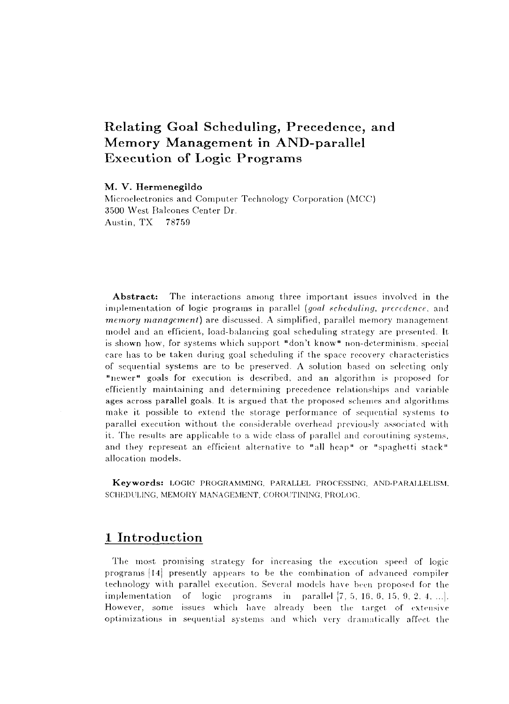# Relating Goal Scheduling, Precedence, and Memory Management in AND-parallel Execution of Logic Programs

#### **M. V. Hermenegildo**

Microelectronics and Computer Technology Corporation (MCC) 3500 West Balcones Center Dr. Austin, TX 78759

**Abstract:** The interactions among three important issues involved in the implementation of logic programs in parallel *(goal scheduling, precedence,* and *memory management)* are discussed. A simplified, parallel memory management model and an efficient, load-balancing goal scheduling strategy are presented. It is shown how, for systems which support "don't know" non-determinism, special care has to be taken during goal scheduling if the space recovery characteristics of sequential systems are to be preserved. A solution based on selecting only "newer" goals for execution is described, and an algorithm is proposed for efficiently maintaining and determining precedence relationships and variable ages across parallel goals. It is argued that the proposed schemes and algorithms make it possible to extend the storage performance of sequential systems to parallel execution without the considerable overhead previously associated with it. The results are applicable to a wide class of parallel and coroutining systems, and they represent an efficient alternative to "all heap" or "spaghetti stack" allocation models.

**Keywords:** LOGIC PROGRAMMING. PARALLEL PROCESSING, AND-PARALLELISM, SCHEDULING, MEMORY MANAGEMENT, COROUTINING, PROLOG.

## 1 Introduction

The most promising strategy for increasing the execution speed of logic programs (14] presently appears to be the combination of advanced compiler technology with parallel execution. Several models have been proposed for the implementation of logic programs in parallel [7, 5, 16, 6, 15, 9, 2, 4, ...]. However, some issues which have already been the target of extensive optimizations in sequential systems and which very dramatically affect the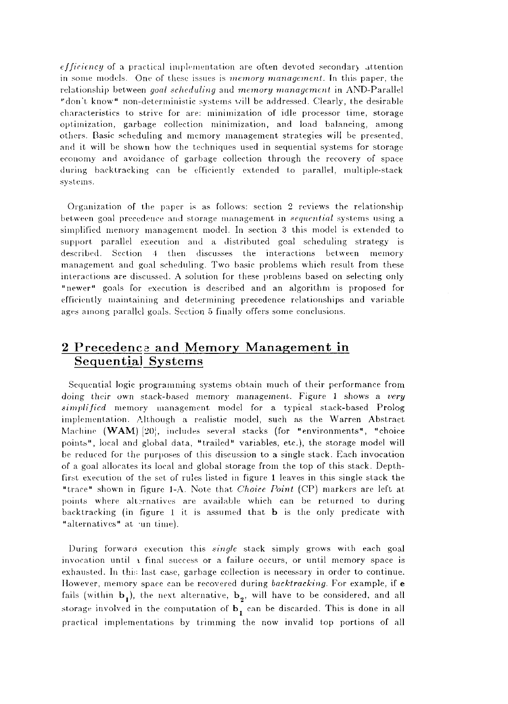*efficiency* of a practical implementation are often devoted secondary attention in some models. One of these issues is *memory management.* In this paper, the relationship between *goal scheduling* and *memory management* in AND-Parallel "don't know" non-deterministic systems will be addressed. Clearly, the desirable characteristics to strive for are: minimization of idle processor time, storage optimization, garbage collection minimization, and load balancing, among others. Basic scheduling and memory management strategies will be presented, and it will be shown how the techniques used in sequential systems for storage economy and avoidance of garbage collection through the recovery of space during backtracking can be efficiently extended to parallel, multiple-stack systems.

Organization of the paper is as follows: section 2 reviews the relationship between goal precedence and storage management in *sequential* systems using a simplified memory management model. In section 3 this model is extended to support parallel execution and a distributed goal scheduling strategy is described. Section 4 then discusses the interactions between memory management and goal scheduling. Two basic problems which result from these interactions are discussed. A solution for these problems based on selecting only "newer" goals for execution is described and an algorithm is proposed for efficiently maintaining and determining precedence relationships and variable ages among parallel goals. Section 5 finally offers some conclusions.

## 2 Precedence and Memory Management in Sequential Systems

Sequential logic programming systems obtain much of their performance from doing their own stack-based memory management. Figure 1 shows a *very simplified* memory management model for a typical stack-based Prolog implementation. Although a realistic model, such as the Warren Abstract Machine **(WAM)** [20], includes several stacks (for "environments", "choice points", local and global data, "trailed" variables, etc.), the storage model will be reduced for the purposes of this discussion to a single stack. Each invocation of a goal allocates its local and global storage from the top of this stack. Depthfirst execution of the set of rules listed in figure 1 leaves in this single stack the "trace" shown in figure 1-A. Note that *Choice Point* (CP) markers are left at points where alternatives are available which can be returned to during backtracking (in figure I it is assumed that b is the only predicate with "alternatives" at -un time).

During forward execution this *single* stack simply grows with each goal invocation until  $\alpha$  final success or a failure occurs, or until memory space is exhausted. In this last case, garbage collection is necessary in order to continue. However, memory space can be recovered during *backtracking.* For example, if e fails (within  $\mathbf{b}_1$ ), the next alternative,  $\mathbf{b}_2$ , will have to be considered, and all storage involved in the computation of  $\mathbf{b}_t$  can be discarded. This is done in all practical implementations by trimming the now invalid top portions of all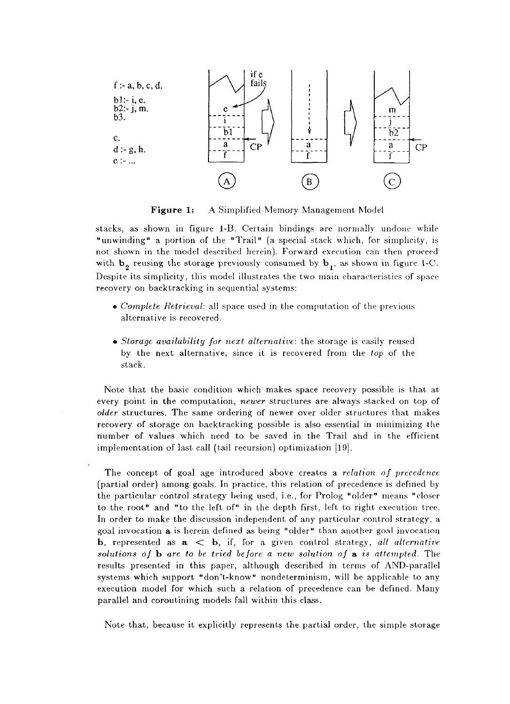

Figure 1: A Simplified Memory Management Model

stacks, as shown in figure 1-B. Certain bindings are normally undone while "unwinding" a portion of the "Trail" (a special stack which, for simplicity, is not shown in the model described herein). Forward execution can then proceed with  $b_2$  reusing the storage previously consumed by  $b_1$ , as shown in figure 1-C. Despite its simplicity, this model illustrates the two main characteristics of space recovery on backtracking in sequential systems:

- • *Complete Retrieval:* all space used in the computation of the previous alternative is recovered.
- • *Storage availability for next alternative:* the storage is easily reused by the next alternative, since it is recovered from the *top* of the stack.

Note that the basic condition which makes space recovery possible is that at every point in the computation, *newer* structures are always stacked on top of *older* structures. The same ordering of newer over older structures that makes recovery of storage on backtracking possible is also essential in minimizing the number of values which need to be saved in the Trail and in the efficient implementation of last call (tail recursion) optimization [19].

The concept of goal age introduced above creates a *relation of precedence*  (partial order) among goals. In practice, this relation of precedence is defined by the particular control strategy being used, i.e., for Prolog "older" means "closer to the root" and "to the left of" in the depth first, left to right execution tree. In order to make the discussion independent of any particular control strategy, a goal invocation a is herein defined as being "older" than another goal invocation b , represented as a < b , if, for a given control strategy, *all alternative solutions of* b *are to be tried before a new solution of* a *is attempted.* The results presented in this paper, although described in terms of AND-parallel systems which support "don't-know" nondeterminism, will be applicable to any execution model for which such a relation of precedence can be defined. Many parallel and coroutining models fall within this class.

Note that, because it explicitly represents the partial order, the simple storage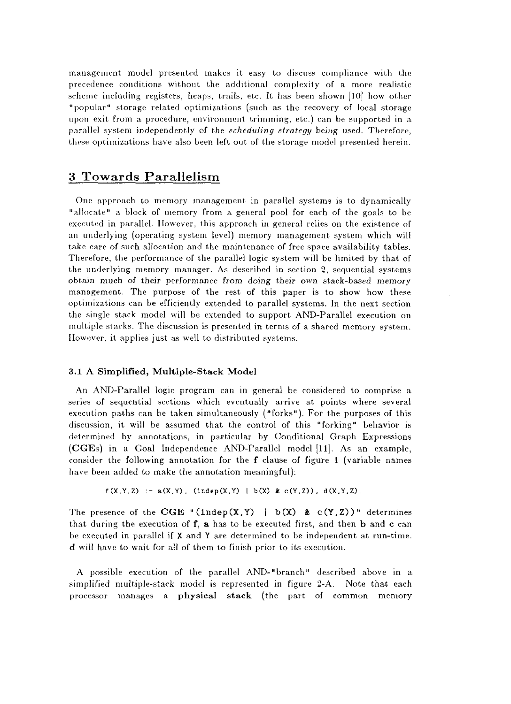management model presented makes it easy to discuss compliance with the precedence conditions without the additional complexity of a more realistic scheme including registers, heaps, trails, etc. It has been shown [10] how other "popular" storage related optimizations (such as the recovery of local storage upon exit from a procedure, environment trimming, etc.) can be supported in a parallel system independently of the *scheduling strategy* being used. Therefore, these optimizations have also been left out of the storage model presented herein.

### 3 Towards Parallelism

One approach to memory management in parallel systems is to dynamically "allocate" a block of memory from a general pool for each of the goals to be executed in parallel. However, this approach in general relies on the existence of an underlying (operating system level) memory management system which will take care of such allocation and the maintenance of free space availability tables. Therefore, the performance of the parallel logic system will be limited by that of the underlying memory manager. As described in section 2, sequential systems obtain much of their performance from doing their own stack-based memory management. The purpose of the rest of this paper is to show how these optimizations can be efficiently extended to parallel systems. In the next section the single stack model will be extended to support AND-Parallel execution on multiple stacks. The discussion is presented in terms of a shared memory system. However, it applies just as well to distributed systems.

#### **3.1 A Simplified, Multiple-Stack Model**

An AND-Parallel logic program can in general be considered to comprise a series of sequential sections which eventually arrive at points where several execution paths can be taken simultaneously ("forks"). For the purposes of this discussion, it will be assumed that the control of this "forking" behavior is determined by annotations, in particular by Conditional Graph Expressions (CGEs) in a Goal Independence AND-Parallel model [11]. As an example, consider the following annotation for the **f** clause of figure 1 (variable names have been added to make the annotation meaningful):

 $f(X,Y,Z) := a(X,Y)$ , (indep $(X,Y) + b(X)$  & c $(Y,Z)$ ), d(X,Y,Z).

The presence of the CGE "(indep(X, Y) |  $b(X)$  & c(Y, Z))" determines that during the execution of f, **a** has to be executed first, and then b and **c** can be executed in parallel if X and Y are determined to be independent at run-time. **d** will have to wait for all of them to finish prior to its execution.

A possible execution of the parallel AND-"branch" described above in a simplified multiple-stack model is represented in figure 2-A. Note that each processor manages a **physical stack** (the part of common memory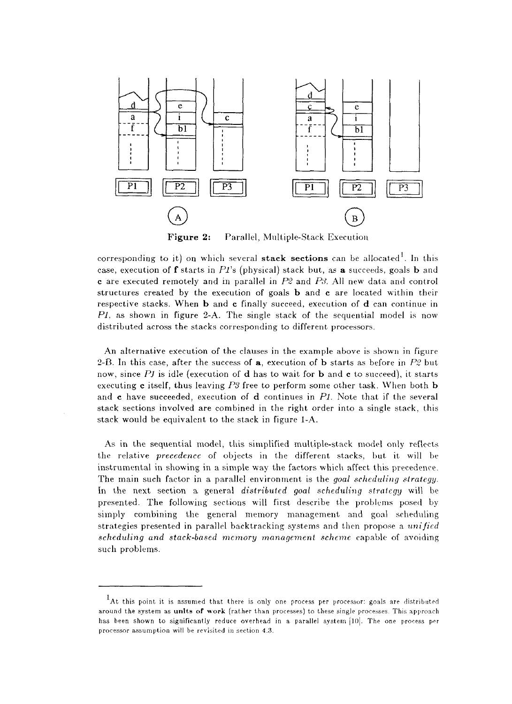

Figure 2: Parallel, Multiple-Stack Execution

corresponding to it) on which several **stack sections** can be allocated . In this case, execution of f starts in Pi's (physical) stack but, as **a** succeeds, goals b and **c** are executed remotely and in parallel in *P2* and *PS.* All new data and control structures created by the execution of goals b and **c** are located within their respective stacks. When b and **c** finally succeed, execution of d can continue in *PI,* as shown in figure 2-A. The single stack of the sequential model is now distributed across the stacks corresponding to different processors.

An alternative execution of the clauses in the example above is shown in figure 2-B. In this case, after the success of a, execution of b starts as before in *P2* but now, since *Pi* is idle (execution of d has to wait for b and **c** to succeed), it starts executing **c** itself, thus leaving *P8* free to perform some other task. When both b and **c** have succeeded, execution of d continues in *Pi.* Note that if the several stack sections involved are combined in the right order into a single stack, this stack would be equivalent to the stack in figure 1-A.

As in the sequential model, this simplified multiple-stack model only reflects the relative *precedence* of objects in the different stacks, but it will be instrumental in showing in a simple way the factors which affect this precedence. The main such factor in a parallel environment is the *goal scheduling strategy.*  In the next section a general *distributed goal scheduling strategy* will be presented. The following sections will first describe the problems posed by simply combining the general memory management and goal scheduling strategies presented in parallel backtracking systems and then propose a *unified scheduling and stack-based memory management scheme* capable of avoiding such problems.

<sup>&</sup>lt;sup>1</sup>At this point it is assumed that there is only one process per processor: goals are distributed around the system as units of work (rather than processes) to these single processes. This approach has been shown to significantly reduce overhead in a parallel system [10]. The one process per processor assumption will be revisited in section 4.3.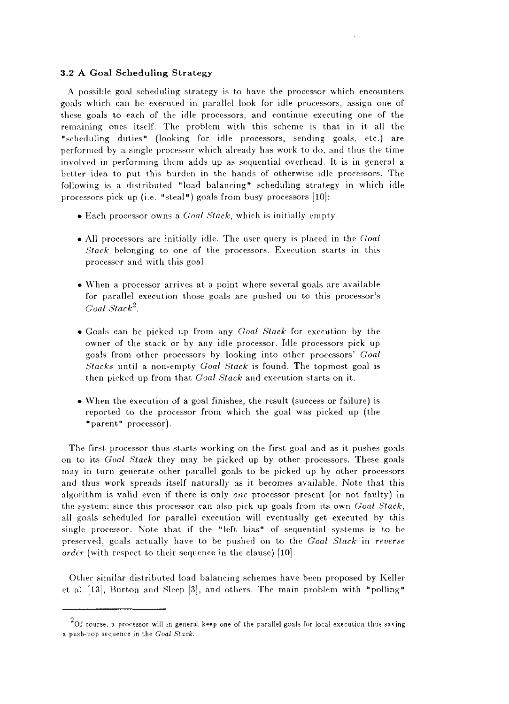#### **3.2 A Goal Scheduling Strategy**

A possible goal scheduling strategy is to have the processor which encounters goals which can be executed in parallel look for idle processors, assign one of these goals to each of the idle processors, and continue executing one of the remaining ones itself. The problem with this scheme is that in it all the "scheduling duties" (looking for idle processors, sending goals, etc.) are performed by a single processor which already has work to do, and thus the time involved in performing them adds up as sequential overhead. It is in general a better idea to put this burden in the hands of otherwise idle processors. The following is a distributed "load balancing" scheduling strategy in which idle processors pick up (i.e. "steal") goals from busy processors [10]:

- Each processor owns a *Goal Stack,* which is initially empty.
- All processors are initially idle. The user query is placed in the *Goal Stack* belonging to one of the processors. Execution starts in this processor and with this goal.
- When a processor arrives at a point where several goals are available for parallel execution those goals are pushed on to this processor's *Goal Stack<sup>2</sup> .*
- Goals can be picked up from any *Goal Stack* for execution by the owner of the stack or by any idle processor. Idle processors pick up goals from other processors by looking into other processors' *Goal Stacks* until a non-empty *Goal Stack* is found. The topmost goal is then picked up from that *Goal Stack* and execution starts on it.
- When the execution of a goal finishes, the result (success or failure) is reported to the processor from which the goal was picked up (the "parent" processor).

The first processor thus starts working on the first goal and as it pushes goals on to its *Goal Stack* they may be picked up by other processors. These goals may in turn generate other parallel goals to be picked up by other processors and thus work spreads itself naturally as it becomes available. Note that this algorithm is valid even if there is only *one* processor present (or not faulty) in the system: since this processor can also pick up goals from its own *Goal Stack,*  all goals scheduled for parallel execution will eventually get executed by this single processor. Note that if the "left bias" of sequential systems is to be preserved, goals actually have to be pushed on to the *Goal Stack* in *reverse order* (with respect to their sequence in the clause) [10].

Other similar distributed load balancing schemes have been proposed by Keller et al.  $[13]$ , Burton and Sleep  $[3]$ , and others. The main problem with "polling"

 $^{2}$ Of course, a processor will in general keep one of the parallel goals for local execution thus saving a push-pop sequence in the *Goal Stack.*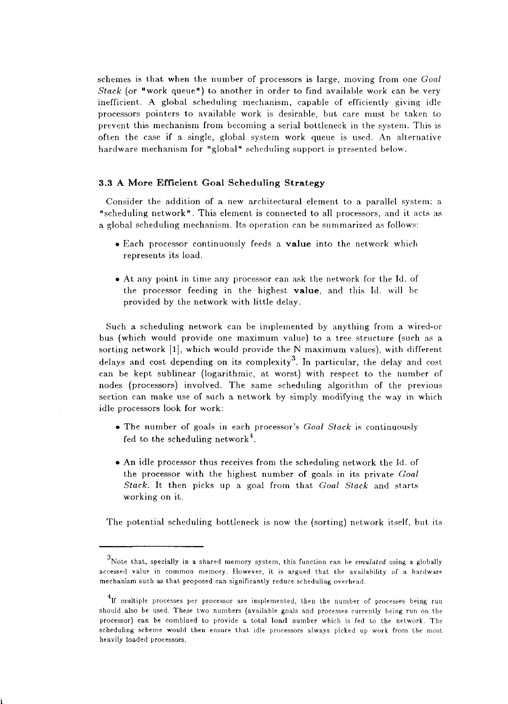schemes is that when the number of processors is large, moving from one *Goal Stack* (or "work queue") to another in order to find available work can be very inefficient. A global scheduling mechanism, capable of efficiently giving idle processors pointers to available work is desirable, but care must be taken to prevent this mechanism from becoming a serial bottleneck in the system. This is often the case if a single, global system work queue is used. An alternative hardware mechanism for "global" scheduling support is presented below.

#### **3.3 A Mor e Efficient Goal Scheduling Strategy**

Consider the addition of a new architectural element to a parallel system: a "scheduling network". This element is connected to all processors, and it acts as a global scheduling mechanism. Its operation can be summarized as follows:

- Each processor continuously feeds a **value** into the network which represents its load.
- At any point in time any processor can ask the network for the Id. of the processor feeding in the highest **value,** and this Id. will be provided by the network with little delay.

Such a scheduling network can be implemented by anything from a wired-or bus (which would provide one maximum value) to a tree structure (such as a sorting network [l], which would provide the N maximum values), with different delays and cost depending on its complexity<sup>3</sup>. In particular, the delay and cost can be kept sublinear (logarithmic, at worst) with respect to the number of nodes (processors) involved. The same scheduling algorithm of the previous section can make use of such a network by simply modifying the way in which idle processors look for work:

- The number of goals in each processor's *Goal Stack* is continuously fed to the scheduling network<sup>4</sup>.
- An idle processor thus receives from the scheduling network the Id. of the processor with the highest number of goals in its private *Goal Stack*. It then picks up a goal from that *Goal Stack* and starts working on it.

The potential scheduling bottleneck is now the (sorting) network itself, but its

Note that, specially in a shared memory system, this function can be *emulated* using a globally accessed value in common memory. However, it is argued that the availability of a hardware mechanism such as that proposed can significantly reduce scheduling overhead.

 $^4$ If multiple processes per processor are implemented, then the number of processes being run should also be used. These two numbers (available goals and processes currently being run on the processor) can be combined to provide a total load number which is fed to the network. The scheduling scheme would then ensure that idle processors always picked up work from the most heavily loaded processors.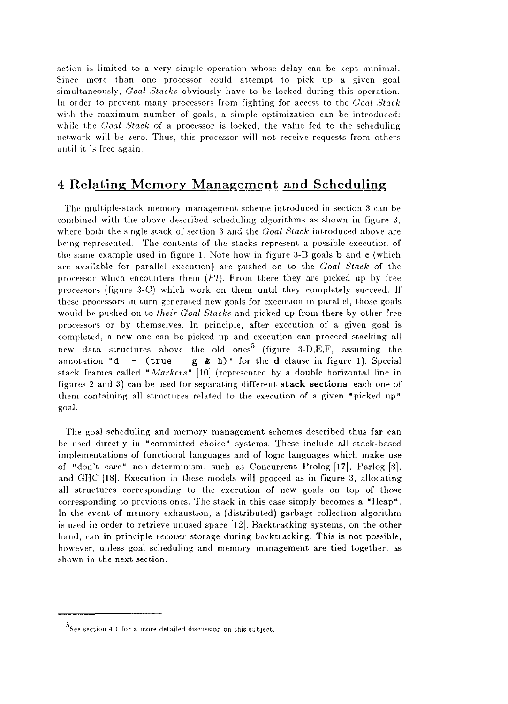action is limited to a very simple operation whose delay can be kept minimal. Since more than one processor could attempt to pick up a given goal simultaneously, *Goal Stacks* obviously have to be locked during this operation. In order to prevent many processors from fighting for access to the *Goal Stack*  with the maximum number of goals, a simple optimization can be introduced: while the *Goal Stack* of a processor is locked, the value fed to the scheduling network will be zero. Thus, this processor will not receive requests from others until it is free again.

## 4 Relating Memory Management and Scheduling

The multiple-stack memory management scheme introduced in section 3 can be combined with the above described scheduling algorithms as shown in figure 3, where both the single stack of section 3 and the *Goal Stack* introduced above are being represented. The contents of the stacks represent a possible execution of the same example used in figure 1. Note how in figure 3-B goals b and **c** (which are available for parallel execution) are pushed on to the *Goal Stack* of the processor which encounters them  $(PI)$ . From there they are picked up by free processors (figure 3-C) which work on them until they completely succeed. If these processors in turn generated new goals for execution in parallel, those goals would be pushed on to *their Goal Slacks* and picked up from there by other free processors or by themselves. In principle, after execution of a given goal is completed, a new one can be picked up and execution can proceed stacking all new data structures above the old ones<sup>5</sup> (figure 3-D,E,F, assuming the annotation "d :- (true |  $g \& h$ )" for the d clause in figure 1). Special stack frames called *"Markers"* [10] (represented by a double horizontal line in figures 2 and 3) can be used for separating different **stack sections,** each one of them containing all structures related to the execution of a given "picked up" goal.

The goal scheduling and memory management schemes described thus far can be used directly in "committed choice" systems. These include all stack-based implementations of functional languages and of logic languages which make use of "don't care" non-determinism, such as Concurrent Prolog [17], Parlog [8], and GHC [18]. Execution in these models will proceed as in figure 3, allocating all structures corresponding to the execution of new goals on top of those corresponding to previous ones. The stack in this case simply becomes a "Heap". In the event of memory exhaustion, a (distributed) garbage collection algorithm is used in order to retrieve unused space [12]. Backtracking systems, on the other hand, can in principle *recover* storage during backtracking. This is not possible, however, unless goal scheduling and memory management are tied together, as shown in the next section.

 $^5$ See section 4.1 for a more detailed discussion on this subject.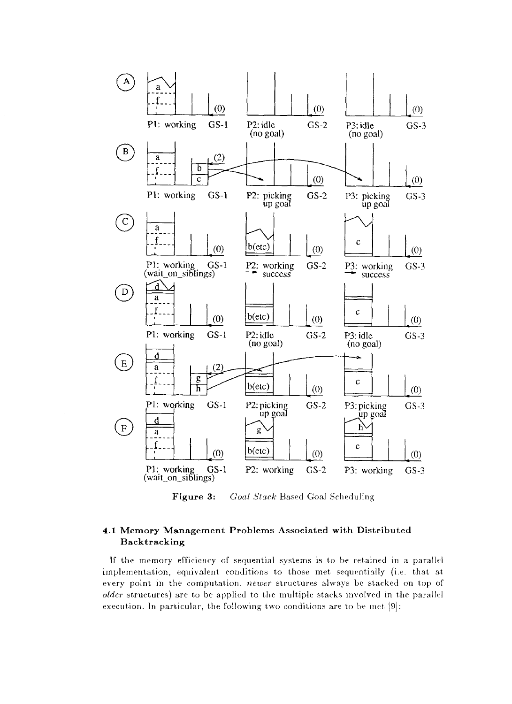

Figure 3: Goal Stack Based Goal Scheduling

### **4.1 Memor y Managemen t Problems Associated with Distributed Backtracking**

**If** the memory efficiency of sequential systems is to be retained in a parallel implementation, equivalent conditions to those met sequentially (i.e. that at every point in the computation, *newer* structures always be stacked on top of *older* structures) are to be applied to the multiple stacks involved in the parallel execution. In particular, the following two conditions are to be met [9]: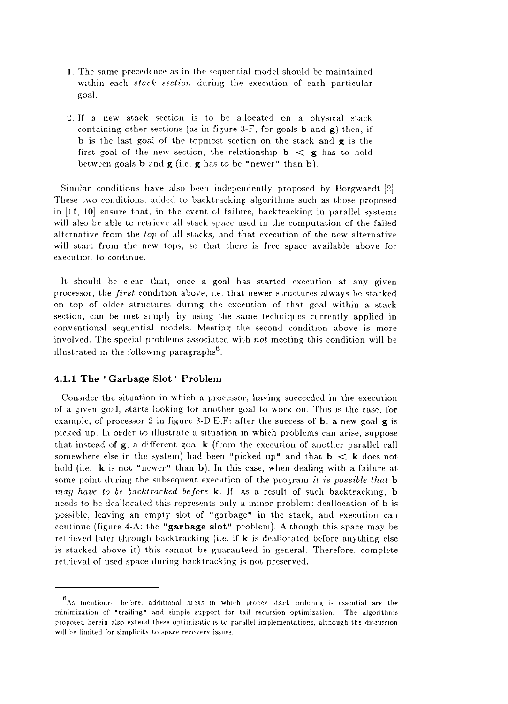- 1. The same precedence as in the sequential model should be maintained within each *stack section* during the execution of each particular goal.
- 2. If a new stack section is to be allocated on a physical stack containing other sections (as in figure 3-F, for goals **b** and g) then, if **b** is the last goal of the topmost section on the stack and **g** is the first goal of the new section, the relationship  $\mathbf{b} \leq \mathbf{g}$  has to hold between goals **b** and **g** (i.e. **g** has to be "newer" than b).

Similar conditions have also been independently proposed by Borgwardt [2]. These two conditions, added to backtracking algorithms such as those proposed in [11, 10] ensure that, in the event of failure, backtracking in parallel systems will also be able to retrieve all stack space used in the computation of the failed alternative from the *top* of all stacks, and that execution of the new alternative will start from the new tops, so that there is free space available above for execution to continue.

It should be clear that, once a goal has started execution at any given processor, the *first* condition above, i.e. that newer structures always be stacked on top of older structures during the execution of that goal within a stack section, can be met simply by using the same techniques currently applied in conventional sequential models. Meeting the second condition above is more involved. The special problems associated with *not* meeting this condition will be illustrated in the following paragraphs $<sup>6</sup>$ .</sup>

#### 4.1.1 The "Garbage Slot" Problem

Consider the situation in which a processor, having succeeded in the execution of a given goal, starts looking for another goal to work on. This is the case, for example, of processor 2 in figure  $3-D,E,F$ : after the success of **b**, a new goal **g** is picked up. In order to illustrate a situation in which problems can arise, suppose that instead of  $g$ , a different goal  $k$  (from the execution of another parallel call somewhere else in the system) had been "picked up" and that  $\mathbf{b} < \mathbf{k}$  does not hold (i.e. **k** is not "newer" than **b**). In this case, when dealing with a failure at some point during the subsequent execution of the program *it is possible that h may have to be backtracked before* k. If, as a result of such backtracking, **b**  needs to be deallocated this represents only a minor problem: deallocation of **b** is possible, leaving an empty slot of "garbage" in the stack, and execution can continue (figure 4-A: the **"garbage slot"** problem). Although this space may be retrieved later through backtracking (i.e. if  $k$  is deallocated before anything else is stacked above it) this cannot be guaranteed in general. Therefore, complete retrieval of used space during backtracking is not preserved.

 $6$ As mentioned before, additional areas in which proper stack ordering is essential are the minimization of "trailing" and simple support for tail recursion optimization. The algorithms proposed herein also extend these optimizations to parallel implementations, although the discussion will be limited for simplicity to space recovery issues.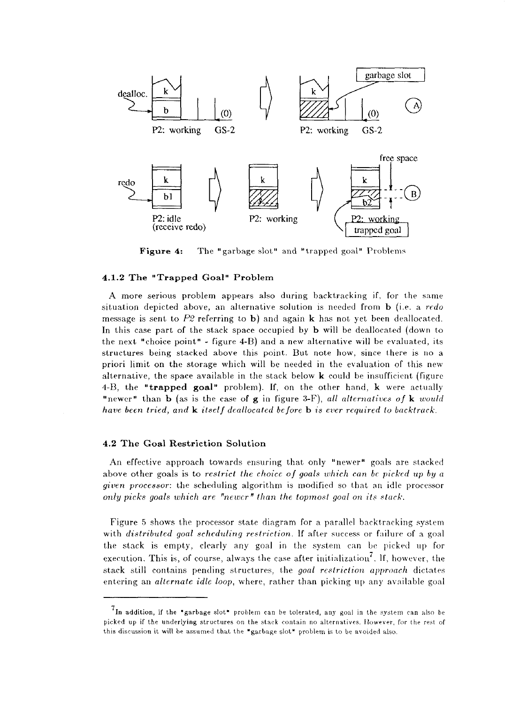

**Figure 4:** The "garbage slot" and "trapped goal" Problems

#### 4.1.2 The "Trapped Goal" Problem

A more serious problem appears also during backtracking if, for the same situation depicted above, an alternative solution is needed from **b** (i.e. a *redo*  message is sent to  $P2$  referring to b) and again **k** has not yet been deallocated. In this case part of the stack space occupied by **b** will be deallocated (down to the next "choice point" - figure 4-B) and a new alternative will be evaluated, its structures being stacked above this point. But note how, since there is no a priori limit on the storage which will be needed in the evaluation of this new alternative, the space available in the stack below  $k$  could be insufficient (figure 4-B, the **"trapped goal"** problem). If, on the other hand, k were actually "newer" than **b** (as is the case of **g** in figure 3-F), *all alternatives of* k *would have been tried, and* k *itself deallocated before* **b** *is ever required to backtrack.* 

#### **4.2 Th e Goal Restriction Solution**

An effective approach towards ensuring that only "newer" goals are stacked above other goals is to *restrict the choice of goals which can be picked up by a given processor:* the scheduling algorithm is modified so that an idle processor *only picks goals which are "newer" than the topmost goal on its stack.* 

Figure 5 shows the processor state diagram for a parallel backtracking system with *distributed goal scheduling restriction.* If after success or failure of a goal the stack is empty, clearly any goal in the system can be picked up for execution. This is, of course, always the case after initialization<sup>7</sup>. If, however, the stack still contains pending structures, the *goal restriction approach* dictates entering an *alternate idle loop,* where, rather than picking up any available goal

 $7$ In addition, if the "garbage slot" problem can be tolerated, any goal in the system can also be picked up if the underlying structures on the stack contain no alternatives. However, for the rest of this discussion it will be assumed that the "garbage slot" problem is to be avoided also.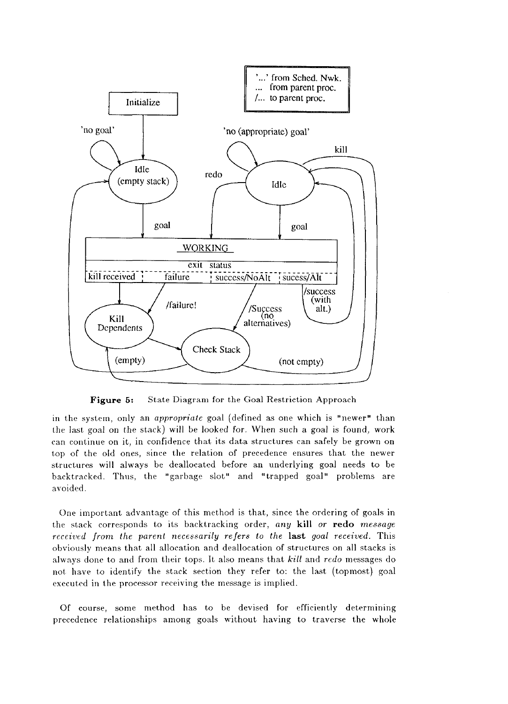

**Figure 5:** State Diagram for the Goal Restriction Approach

in the system, only an *appropriate* goal (defined as one which is "newer" than the last goal on the stack) will be looked for. When such a goal is found, work can continue on it, in confidence that its data structures can safely be grown on top of the old ones, since the relation of precedence ensures that the newer structures will always be deallocated before an underlying goal needs to be backtracked. Thus, the "garbage slot" and "trapped goal" problems are avoided.

One important advantage of this method is that, since the ordering of goals in the stack corresponds to its backtracking order, any kill or redo message *received from the parent necessarily refers to the* last *goal received.* This obviously means that all allocation and deallocation of structures on all stacks is always done to and from their tops. It also means that *kill* and *redo* messages do not have to identify the stack section they refer to: the last (topmost) goal executed in the processor receiving the message is implied.

Of course, some method has to be devised for efficiently determining precedence relationships among goals without having to traverse the whole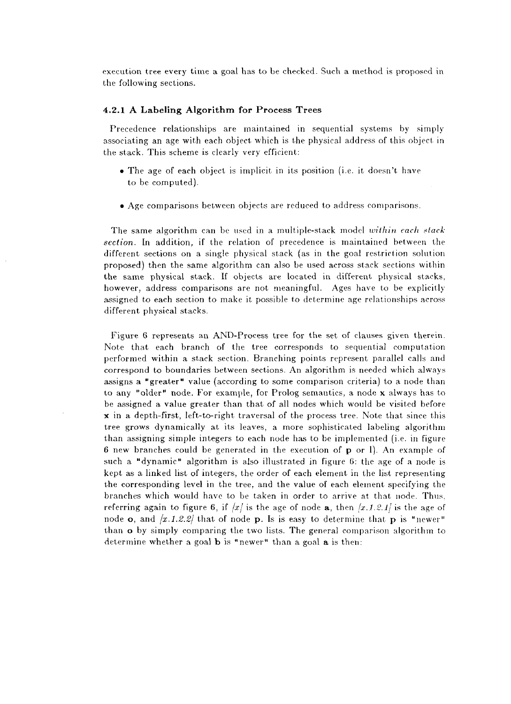execution tree every time a goal has to be checked. Such a method is proposed in the following sections.

#### **4.2.1 A Labeling Algorithm for Process Trees**

Precedence relationships are maintained in sequential systems by simply associating an age with each object which is the physical address of this object in the stack. This scheme is clearly very efficient:

- The age of each object is implicit in its position (i.e. it doesn't have to be computed).
- Age comparisons between objects are reduced to address comparisons.

The same algorithm can be used in a multiple-stack model *within each slacksection.* In addition, if the relation of precedence is maintained between the different sections on a single physical stack (as in the goal restriction solution proposed) then the same algorithm can also be used across stack sections within the same physical stack. If objects are located in different physical stacks, however, address comparisons are not meaningful. Ages have to be explicitly assigned to each section to make it possible to determine age relationships across different physical stacks.

Figure 6 represents an AND-Process tree for the set of clauses given therein. Note that each branch of the tree corresponds to sequential computation performed within a stack section. Branching points represent parallel calls and correspond to boundaries between sections. An algorithm is needed which always assigns a "greater" value (according to some comparison criteria) to a node than to any "older" node. For example, for Prolog semantics, a. node x always has to be assigned a value greater than that of all nodes which would be visited before x in a depth-first, left-to-right traversal of the process tree. Note that since this tree grows dynamically at its leaves, a more sophisticated labeling algorithm than assigning simple integers to each node has to be implemented (i.e. in figure 6 new branches could be generated in the execution of p or 1). An example of such a "dynamic" algorithm is also illustrated in figure 6: the age of a node is kept as a linked list of integers, the order of each element in the list representing the corresponding level in the tree, and the value of each element specifying the branches which would have to be taken in order to arrive at that node. Thus, referring again to figure 6, if  $\langle x \rangle$  is the age of node **a**, then  $\langle x.1.2.1 \rangle$  is the age of node  $\alpha$ , and  $\left[x.1.2.2\right]$  that of node  $\beta$ . Is is easy to determine that  $\beta$  is "newer" than **o** by simply comparing the two lists. The general comparison algorithm to determine whether a goal **b** is "newer" than a goal **a** is then: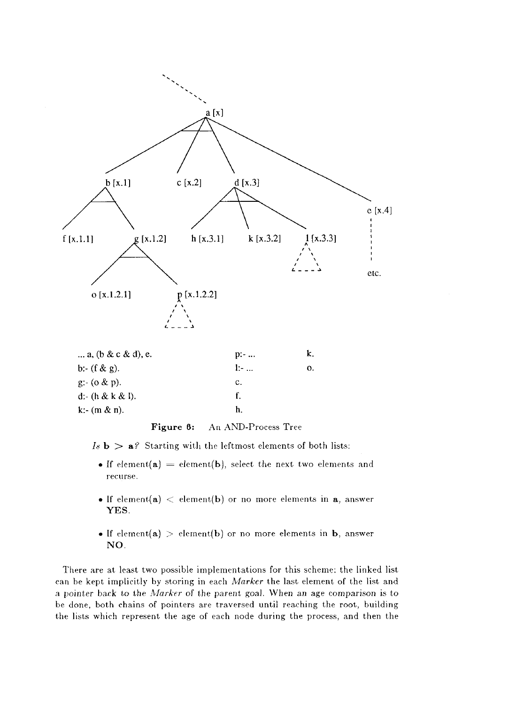

| $D: -$ | k. |
|--------|----|
| 1:     | 0. |
| c.     |    |
| f.     |    |
| h.     |    |
|        |    |

### **Figure 6:** An AND-Process Tree

 $Is \mathbf{b} > \mathbf{a}$ ? Starting with the leftmost elements of both lists:

- If element(a) = element(b), select the next two elements and recurse.
- If element(a)  $\langle$  element(b) or no more elements in a, answer **YES.**
- If element(a) > element(b) or no more elements in b, answer NO.

There are at least two possible implementations for this scheme: the linked list can be kept implicitly by storing in each *Marker* the last element of the list and a pointer back to the *Marker* of the parent goal. When an age comparison is to be done, both chains of pointers are traversed until reaching the root, building the lists which represent the age of each node during the process, and then the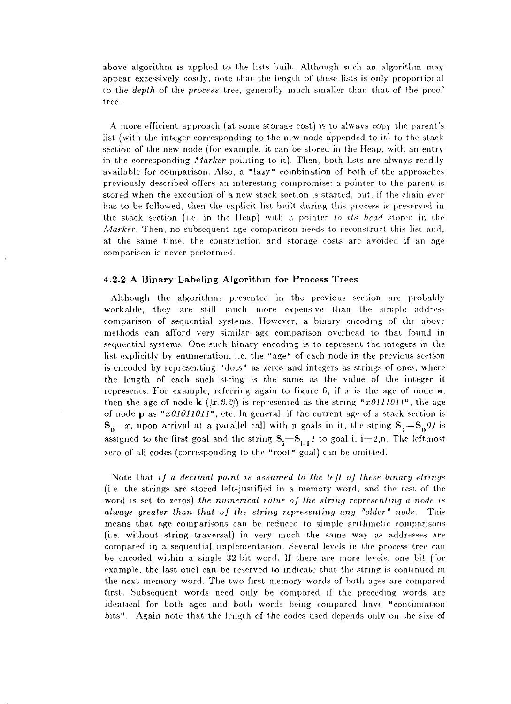above algorithm is applied to the lists built. Although such an algorithm may appear excessively costly, note that the length of these lists is only proportional to the *depth* of the *process* tree, generally much smaller than that of the proof tree.

A more efficient approach (at some storage cost) is to always copy the parent's list (with the integer corresponding to the new node appended to it) to the stack section of the new node (for example, it can be stored in the Heap, with an entry in the corresponding *Marker* pointing to it). Then, both lists are always readily available for comparison. Also, a "lazy" combination of both of the approaches previously described offers an interesting compromise: a pointer to the parent is stored when the execution of a new stack section is started, but, if the chain ever has to be followed, then the explicit list built during this process is preserved in the stack section (i.e. in the Heap) with a pointer *to its head* stored in the *Marker.* Then, no subsequent age comparison needs to reconstruct this list and, at the same time, the construction and storage costs arc avoided if an age comparison is never performed.

#### **4.2.2 A Binary Labeling Algorithm for Process Trees**

Although the algorithms presented in the previous section are probably workable, they are still much more expensive than the simple address comparison of sequential systems. However, a binary encoding of the above methods can afford very similar age comparison overhead to that found in sequential systems. One such binary encoding is to represent the integers in the list explicitly by enumeration, i.e. the "age" of each node in the previous section is encoded by representing "dots" as zeros and integers as strings of ones, where the length of each such string is the same as the value of the integer it represents. For example, referring again to figure 6, if *x* is the age of node a, then the age of node **k**  $(\sqrt{x}.3.2)$  is represented as the string "x0111011", the age of node p as *"xOlOllOlJ"*, etc. In general, if the current age of a stack section is  $S_0 = x$ , upon arrival at a parallel call with n goals in it, the string  $S_1 = S_0 \theta I$  is assigned to the first goal and the string  $S_i = S_{i-1} t$  to goal i, i=2,n. The leftmost zero of all codes (corresponding to the "root" goal) can be omitted.

Note that *if a decimal point is assumed to the (eft of these binary strings*  (i.e. the strings are stored left-justified in a memory word, and the rest of the word is set to zeros) *the numerical value of the string representing a node is always greater than that of the string representing any "older" node.* This means that age comparisons can be reduced to simple arithmetic comparisons (i.e. without string traversal) in very much the same way as addresses are compared in a sequential implementation. Several levels in the process tree can be encoded within a single 32-bit word. If there are more levels, one bit (for example, the last one) can be reserved to indicate that the string is continued in the next memory word. The two first memory words of both ages are compared first. Subsequent words need only be compared if the preceding words are identical for both ages and both words being compared have "continuation bits". Again note that the length of the codes used depends only on the size of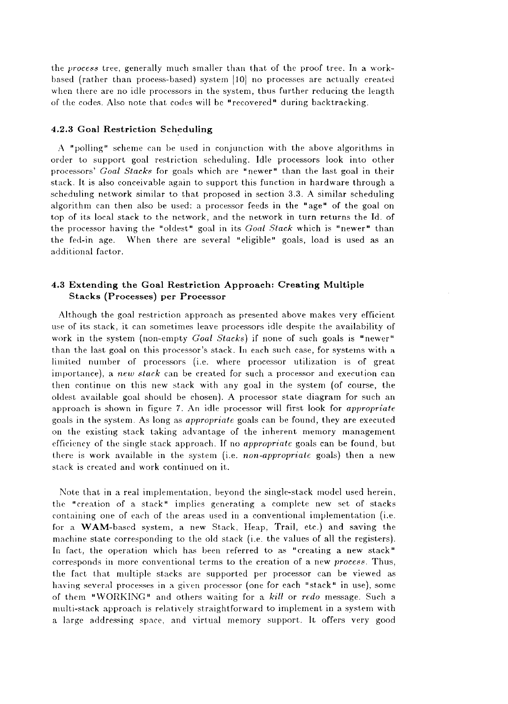the *process* tree, generally much smaller than that of the proof tree. In a workbased (rather than process-based) system [10] no processes are actually created when there are no idle processors in the system, thus further reducing the length of the codes. Also note that codes will be "recovered" during backtracking.

#### **4.2.3 Goal Restriction Scheduling**

A "polling" scheme can be used in conjunction with the above algorithms in order to support goal restriction scheduling. Idle processors look into other processors' *Goal Stacks* for goals which are "newer" than the last goal in their stack. It is also conceivable again to support this function in hardware through a scheduling network similar to that proposed in section 3.3. A similar scheduling algorithm can then also be used: a processor feeds in the "age" of the goal on top of its local stack to the network, and the network in turn returns the Id. of the processor having the "oldest" goal in its *Goal Stack* which is "newer" than the fed-in age. When there are several "eligible" goals, load is used as an additional factor.

#### **4.3 Extending the Goal Restriction Approach: Creating Multiple Stacks (Processes) per Processor**

Although the goal restriction approach as presented above makes very efficient use of its stack, it can sometimes leave processors idle despite the availability of work in the system (non-empty *Goal Stacks)* if none of such goals is "newer" than the last goal on this processor's stack. In each such case, for systems with a limited number of processors (i.e. where processor utilization is of great importance), a *new stack* can be created for such a processor and execution can then continue on this new stack with any goal in the system (of course, the oldest available goal should be chosen). A processor state diagram for such an approach is shown in figure 7. An idle processor will first look for *appropriate*  goals in the system. As long as *appropriate* goals can be found, they are executed on the existing stack taking advantage of the inherent memory management efficiency of the single stack approach. If no *appropriate* goals can be found, but there is work available in the system (i.e. *non-appropriate* goals) then a new stack is created and work continued on it.

Note that in a real implementation, beyond the single-stack model used herein, the "creation of a stack" implies generating a complete new set of stacks containing one of each of the areas used in a conventional implementation (i.e. for a WAM-based system, a new Stack, Heap, Trail, etc.) and saving the machine state corresponding to the old stack (i.e. the values of all the registers). In fact, the operation which has been referred to as "creating a new stack" corresponds in more conventional terms to the creation of a new *process.* Thus, the fact that multiple stacks are supported per processor can be viewed as having several processes in a given processor (one for each "stack" in use), some of them "WORKING" and others waiting for a *kill* or *redo* message. Such a multi-stack approach is relatively straightforward to implement in a system with a large addressing space, and virtual memory support. It offers very good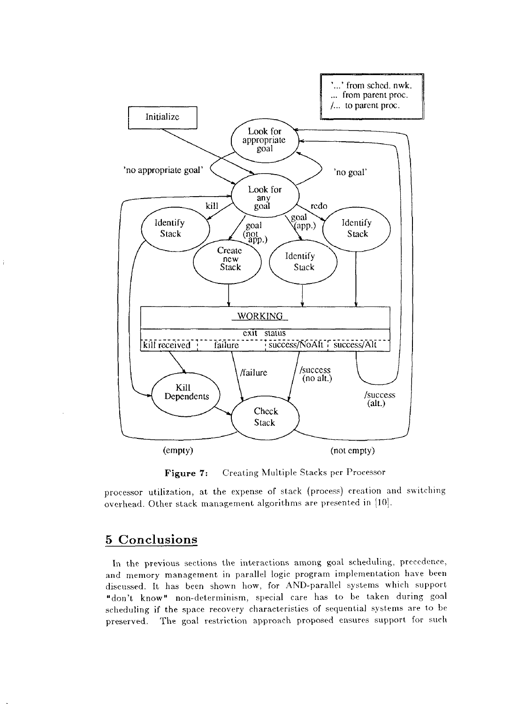

Figure 7: Creating Multiple Stacks per Processor

processor utilization, at the expense of stack (process) creation and switching overhead. Other stack management algorithms are presented in [10].

# 5 Conclusions

 $\hat{t}$ 

In the previous sections the interactions among goal scheduling, precedence, and memory management in parallel logic program implementation have been discussed. It has been shown how, for AND-parallel systems which support "don't know" non-determinism, special care has to be taken during goal scheduling if the space recovery characteristics of sequential systems are to be preserved. The goal restriction approach proposed ensures support for such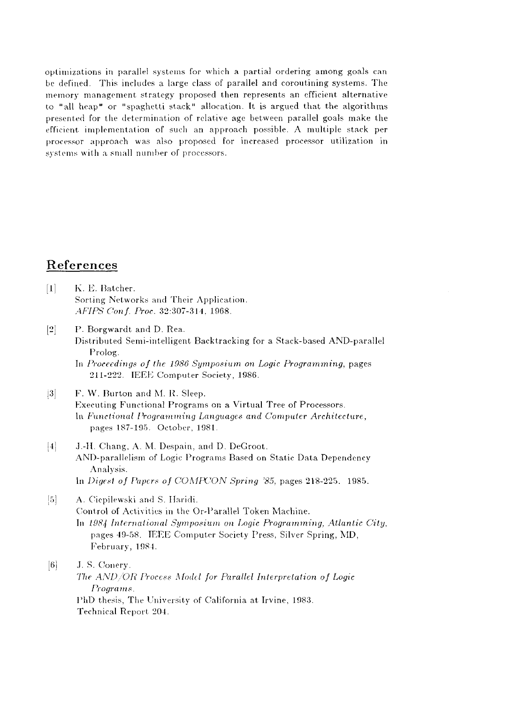optimizations in parallel systems for which a partial ordering among goals can be defined. This includes a large class of parallel and coroutining systems. The memory management strategy proposed then represents an efficient alternative to "all heap" or "spaghetti stack" allocation. It is argued that the algorithms presented for the determination of relative age between parallel goals make the efficient implementation of such an approach possible. A multiple stack per processor approach was also proposed for increased processor utilization in systems with a small number of processors.

# References

- $[1]$ K. E. Batcher. Sorting Networks and Their Application. *AFIPS Conf. Proc.* 32:307-314, 1968.
- $|2|$ P. Borgwardt and D. Rea. Distributed Semi-intelligent Backtracking for a Stack-based AND-parallel Prolog. In *Proceedings of the 1986 Symposium on Logic Programming,* pages
	- 211-222. IEEE Computer Society, 1986.

#### $|3|$ F. W. Burton and M. R. Sleep. Executing Functional Programs on a Virtual Tree of Processors. In *Functional Programming Languages and Computer Architecture,*  pages 187-195. October, 1981.

- $\vert 4 \vert$ J.-H. Chang, A. M. Despain, and D. DeGroot. AND-parallelism of Logic Programs Based on Static Data Dependency Analysis. In *Digest of Papers of COMPCON Spring '85*, pages 218-225. 1985.
- $\left[5\right]$ A. Ciepilewski and S. Ilaridi. Control of Activities in the Or-Parallel Token Machine. In *1984 International Symposium on Logic Programming, Atlantic City,*  pages 49-58. IEEE Computer Society Press, Silver Spring, MD, February, 1984.

 $\vert 6 \vert$ J. S. Conery.

*The AND/OR I'rocess Model for Parallel Interpretation of Logic Programs.*  PhD thesis, The University of California at Irvine, 1983. Technical Report 204.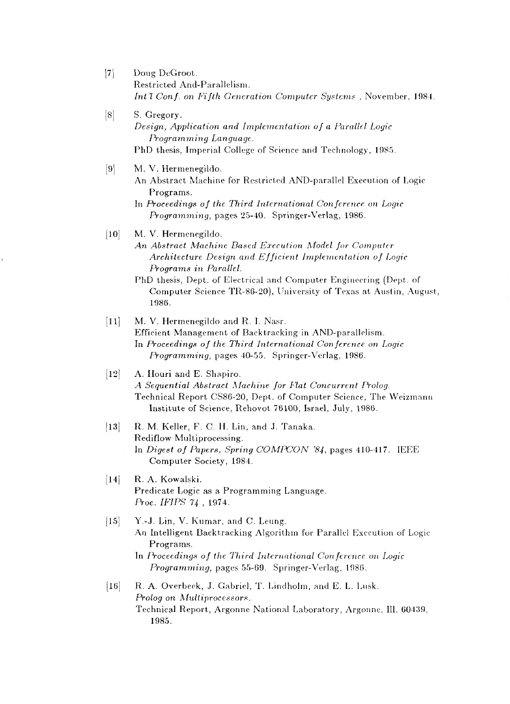- [7] Doug DeGroot. Restricted And-Parallelism. *Int'l Con}, on Fifth Generation Computer Systems* , November. 1081.
- [8] S. Gregory. *Design, Application and Implementation of a Parallel Logic Programming Language.*  PhD thesis, Imperial College of Science and Technology, 1985.
- [9] M. V. Hermenegildo.
	- An Abstract Machine for Restricted AND-parallel Execution of Logic Programs.
	- In *Proceedings of the Third International Conference on Logic Programming,* pages 25-40. Springer-Verlag, 1986.
- [10] M. V. Hermenegildo.
	- *An Abstract Machine Based Execution Model for Computer Architecture Design and Efficient Implementation of Logic Programs in Parallel.*
	- PhD thesis, Dept. of Electrical and Computer Engineering (Dept. of Computer Science TR-86-20), University of Texas at Austin, August, 1986.
- [11] M. V. Hermenegildo and R. I. Nasr. Efficient Management of Backtracking in AND-parallelism. In *Proceedings of the Third International Conference on Logic Programming,* pages 40-55. Springer-Verlag, 1986.
- [12] A. Houri and E. Shapiro. *A Sequential Abstract Atachine for Flat Concurrent Prolog.*  Technical Report CS86-20, Dept. of Computer Science, The Weizmann Institute of Science, Rehovot 76100, Israel, July, 1986.
- [13] R. M. Keller, F. C. H. Lin, and J. Tanaka. Rediflow Multiprocessing. In *Digest of Papers, Spring COMPCON '84,* pages 410-117. IEEE Computer Society, 1984.
- [14] R. A. Kowalski. Predicate Logic as a Programming Language. *Proc. IFIPS 74*, 1974.
- $[15]$  Y.-J. Lin, V. Kumar, and C. Leung. An Intelligent Backtracking Algorithm for Parallel Execution of Logic-Programs.
	- In *Proceedings of the Third International Conference* on *Logic Programming,* pages 55-69. Springer-Verlag, 1986.
- [16] R. A. Overbeek, J. Gabriel, T. Lindholm, and E. L. Lusk. *Prolog on Multiprocessors.*  Technical Report, Argonne National Laboratory, Argonne, III. 60439, 1985.